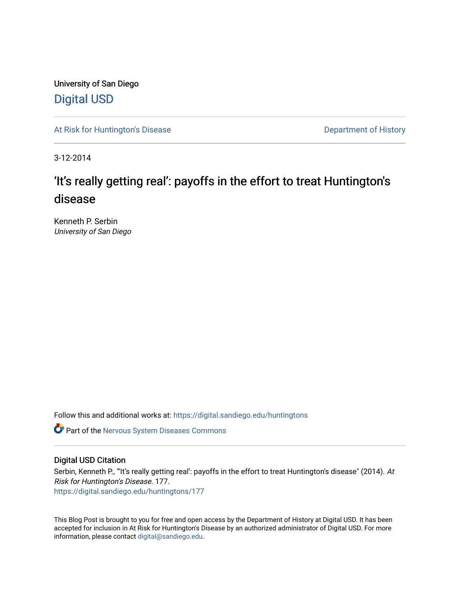University of San Diego [Digital USD](https://digital.sandiego.edu/)

[At Risk for Huntington's Disease](https://digital.sandiego.edu/huntingtons) **Department of History** Department of History

3-12-2014

## 'It's really getting real': payoffs in the effort to treat Huntington's disease

Kenneth P. Serbin University of San Diego

Follow this and additional works at: [https://digital.sandiego.edu/huntingtons](https://digital.sandiego.edu/huntingtons?utm_source=digital.sandiego.edu%2Fhuntingtons%2F177&utm_medium=PDF&utm_campaign=PDFCoverPages)

**C** Part of the [Nervous System Diseases Commons](http://network.bepress.com/hgg/discipline/928?utm_source=digital.sandiego.edu%2Fhuntingtons%2F177&utm_medium=PDF&utm_campaign=PDFCoverPages)

## Digital USD Citation

Serbin, Kenneth P., "'It's really getting real': payoffs in the effort to treat Huntington's disease" (2014). At Risk for Huntington's Disease. 177. [https://digital.sandiego.edu/huntingtons/177](https://digital.sandiego.edu/huntingtons/177?utm_source=digital.sandiego.edu%2Fhuntingtons%2F177&utm_medium=PDF&utm_campaign=PDFCoverPages)

This Blog Post is brought to you for free and open access by the Department of History at Digital USD. It has been accepted for inclusion in At Risk for Huntington's Disease by an authorized administrator of Digital USD. For more information, please contact [digital@sandiego.edu.](mailto:digital@sandiego.edu)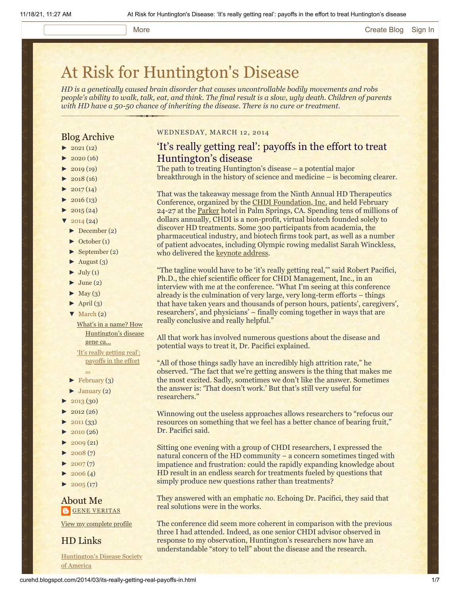#### More **[Create Blog](https://www.blogger.com/home#create) [Sign In](https://www.blogger.com/)**

## [At Risk for Huntington's Disease](http://curehd.blogspot.com/)

*HD is a genetically caused brain disorder that causes uncontrollable bodily movements and robs people's ability to walk, talk, eat, and think. The final result is a slow, ugly death. Children of parents with HD have a 50-50 chance of inheriting the disease. There is no cure or treatment.*

## Blog Archive

- $\blacktriangleright$  [2021](http://curehd.blogspot.com/2021/)(12)
- $2020(16)$  $2020(16)$
- $2019(19)$  $2019(19)$
- $\blacktriangleright$  [2018](http://curehd.blogspot.com/2018/) (16)
- $2017(14)$  $2017(14)$
- $2016(13)$  $2016(13)$
- $\blacktriangleright$  [2015](http://curehd.blogspot.com/2015/) (24)
- $\frac{2014(24)}{201}$  $\frac{2014(24)}{201}$  $\frac{2014(24)}{201}$
- [►](javascript:void(0)) [December](http://curehd.blogspot.com/2014/12/) (2)
- [►](javascript:void(0)) [October](http://curehd.blogspot.com/2014/10/) (1)
- [►](javascript:void(0)) [September](http://curehd.blogspot.com/2014/09/) (2)
- $\blacktriangleright$  [August](http://curehd.blogspot.com/2014/08/) (3)
- $\blacktriangleright$  [July](http://curehd.blogspot.com/2014/07/) (1)
- $\blacktriangleright$  [June](http://curehd.blogspot.com/2014/06/) (2)
- $\blacktriangleright$  [May](http://curehd.blogspot.com/2014/05/) (3)
- $\blacktriangleright$  [April](http://curehd.blogspot.com/2014/04/) (3)
- [▼](javascript:void(0)) [March](http://curehd.blogspot.com/2014/03/) (2)

What's in a name? How [Huntington's](http://curehd.blogspot.com/2014/03/whats-in-name-how-huntingtons-disease.html) disease gene ca...

'It's really getting real': [payoffs](http://curehd.blogspot.com/2014/03/its-really-getting-real-payoffs-in.html) in the effort

- ... [►](javascript:void(0)) [February](http://curehd.blogspot.com/2014/02/) (3)
- $\blacktriangleright$  [January](http://curehd.blogspot.com/2014/01/) (2)
- $\blacktriangleright$  [2013](http://curehd.blogspot.com/2013/) (30)
- $2012(26)$  $2012(26)$
- [►](javascript:void(0)) [2011](http://curehd.blogspot.com/2011/) (33)
- $\blacktriangleright$  [2010](http://curehd.blogspot.com/2010/) (26)
- $\blacktriangleright$  [2009](http://curehd.blogspot.com/2009/) (21)
- $\blacktriangleright$  [2008](http://curehd.blogspot.com/2008/) $(7)$
- $\blacktriangleright$  [2007](http://curehd.blogspot.com/2007/) $(7)$
- $\blacktriangleright$  [2006](http://curehd.blogspot.com/2006/) (4)
- $\blacktriangleright$  [2005](http://curehd.blogspot.com/2005/) (17)

## About Me **GENE [VERITAS](https://www.blogger.com/profile/10911736205741688185)**

View my [complete](https://www.blogger.com/profile/10911736205741688185) profile

HD Links

[Huntington's](http://www.hdsa.org/) Disease Society of America

## WEDNESDAY, MARCH 12, 2014

## 'It's really getting real': payoffs in the effort to treat Huntington's disease

The path to treating Huntington's disease – a potential major breakthrough in the history of science and medicine – is becoming clearer.

That was the takeaway message from the Ninth Annual HD Therapeutics Conference, organized by the **CHDI Foundation**, Inc. and held February 24-27 at the [Parker](http://www.theparkerpalmsprings.com/index.php) hotel in Palm Springs, CA. Spending tens of millions of dollars annually, CHDI is a non-profit, virtual biotech founded solely to discover HD treatments. Some 300 participants from academia, the pharmaceutical industry, and biotech firms took part, as well as a number of patient advocates, including Olympic rowing medalist Sarah Winckless, who delivered the [keynote address.](http://www.curehd.blogspot.com/2014/02/accentuating-positive-olympic-medalist.html)

"The tagline would have to be 'it's really getting real,'" said Robert Pacifici, Ph.D., the chief scientific officer for CHDI Management, Inc., in an interview with me at the conference. "What I'm seeing at this conference already is the culmination of very large, very long-term efforts – things that have taken years and thousands of person hours, patients', caregivers', researchers', and physicians' – finally coming together in ways that are really conclusive and really helpful."

All that work has involved numerous questions about the disease and potential ways to treat it, Dr. Pacifici explained.

"All of those things sadly have an incredibly high attrition rate," he observed. "The fact that we're getting answers is the thing that makes me the most excited. Sadly, sometimes we don't like the answer. Sometimes the answer is: 'That doesn't work.' But that's still very useful for researchers."

Winnowing out the useless approaches allows researchers to "refocus our resources on something that we feel has a better chance of bearing fruit," Dr. Pacifici said.

Sitting one evening with a group of CHDI researchers, I expressed the natural concern of the HD community – a concern sometimes tinged with impatience and frustration: could the rapidly expanding knowledge about HD result in an endless search for treatments fueled by questions that simply produce new questions rather than treatments?

They answered with an emphatic *no*. Echoing Dr. Pacifici, they said that real solutions were in the works.

The conference did seem more coherent in comparison with the previous three I had attended. Indeed, as one senior CHDI advisor observed in response to my observation, Huntington's researchers now have an understandable "story to tell" about the disease and the research.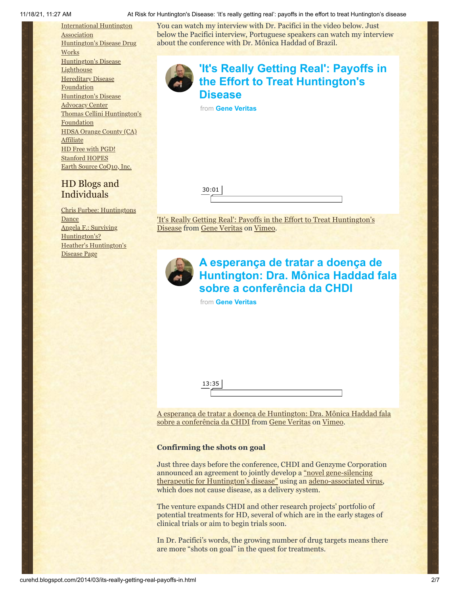[International](http://www.huntington-assoc.com/) Huntington **Association** [Huntington's](http://hddrugworks.org/) Disease Drug **Works** [Huntington's](http://www.hdlighthouse.org/) Disease **Lighthouse [Hereditary](http://www.hdfoundation.org/) Disease Foundation** [Huntington's](http://www.hdac.org/) Disease Advocacy Center Thomas [Cellini Huntington's](http://www.ourtchfoundation.org/) **Foundation** HDSA Orange County (CA) **[Affiliate](http://www.hdsaoc.org/)** HD Free with [PGD!](http://www.hdfreewithpgd.com/) [Stanford](http://www.stanford.edu/group/hopes/) HOPES Earth Source [CoQ10,](http://www.escoq10.com/) Inc.

## HD Blogs and Individuals

Chris Furbee: [Huntingtons](http://www.huntingtonsdance.org/) Dance Angela F.: Surviving [Huntington's?](http://survivinghuntingtons.blogspot.com/) Heather's [Huntington's](http://heatherdugdale.angelfire.com/) Disease Page

You can watch my interview with Dr. Pacifici in the video below. Just below the Pacifici interview, Portuguese speakers can watch my interview about the conference with Dr. Mônica Haddad of Brazil.



# **['It's Really Getting Real': Payoffs in](https://vimeo.com/87786155?embedded=true&source=video_title&owner=6019843) the Effort to Treat Huntington's Disease** from **[Gene Veritas](https://vimeo.com/user6019843?embedded=true&source=owner_name&owner=6019843)**

| ∽ |  |  |
|---|--|--|
|   |  |  |

['It's Really Getting Real': Payoffs in the Effort to Treat Huntington's](http://vimeo.com/87786155) Disease from [Gene Veritas](http://vimeo.com/user6019843) on [Vimeo](https://vimeo.com/).



## **A esperança de tratar a doença de [Huntington: Dra. Mônica Haddad fala](https://vimeo.com/87945795?embedded=true&source=video_title&owner=6019843) sobre a conferência da CHDI**

from **[Gene Veritas](https://vimeo.com/user6019843?embedded=true&source=owner_name&owner=6019843)**

[A esperança de tratar a doença de Huntington: Dra. Mônica Haddad fala](http://vimeo.com/87945795) sobre a conferência da CHDI from [Gene Veritas](http://vimeo.com/user6019843) on [Vimeo](https://vimeo.com/).

## **Confirming the shots on goal**

Just three days before the conference, CHDI and Genzyme Corporation announced an agreement to [jointly develop a "novel gene-silencing](http://chdifoundation.org/?p=897) therapeutic for Huntington's disease" using an [adeno-associated virus](http://www.ncbi.nlm.nih.gov/pmc/articles/PMC2570152/), which does not cause disease, as a delivery system.

The venture expands CHDI and other research projects' portfolio of potential treatments for HD, several of which are in the early stages of clinical trials or aim to begin trials soon.

In Dr. Pacifici's words, the growing number of drug targets means there are more "shots on goal" in the quest for treatments.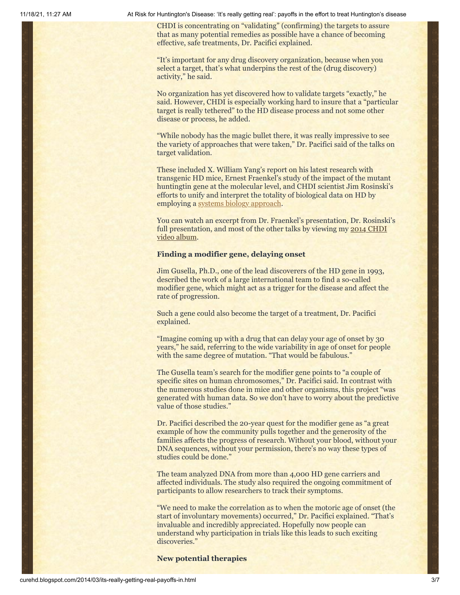CHDI is concentrating on "validating" (confirming) the targets to assure that as many potential remedies as possible have a chance of becoming effective, safe treatments, Dr. Pacifici explained.

"It's important for any drug discovery organization, because when you select a target, that's what underpins the rest of the (drug discovery) activity," he said.

No organization has yet discovered how to validate targets "exactly," he said. However, CHDI is especially working hard to insure that a "particular target is really tethered" to the HD disease process and not some other disease or process, he added.

"While nobody has the magic bullet there, it was really impressive to see the variety of approaches that were taken," Dr. Pacifici said of the talks on target validation.

These included X. William Yang's report on his latest research with transgenic HD mice, Ernest Fraenkel's study of the impact of the mutant huntingtin gene at the molecular level, and CHDI scientist Jim Rosinski's efforts to unify and interpret the totality of biological data on HD by employing a [systems biology approach.](http://curehd.blogspot.com/2012/03/new-more-holistic-view-of-huntingtons.html)

You can watch an excerpt from Dr. Fraenkel's presentation, Dr. Rosinski's full presentation, and [most of the other talks by viewing my 2014 CHDI](http://vimeo.com/album/2775783) video album.

#### **Finding a modifier gene, delaying onset**

Jim Gusella, Ph.D., one of the lead discoverers of the HD gene in 1993, described the work of a large international team to find a so-called modifier gene, which might act as a trigger for the disease and affect the rate of progression.

Such a gene could also become the target of a treatment, Dr. Pacifici explained.

"Imagine coming up with a drug that can delay your age of onset by 30 years," he said, referring to the wide variability in age of onset for people with the same degree of mutation. "That would be fabulous."

The Gusella team's search for the modifier gene points to "a couple of specific sites on human chromosomes," Dr. Pacifici said. In contrast with the numerous studies done in mice and other organisms, this project "was generated with human data. So we don't have to worry about the predictive value of those studies."

Dr. Pacifici described the 20-year quest for the modifier gene as "a great example of how the community pulls together and the generosity of the families affects the progress of research. Without your blood, without your DNA sequences, without your permission, there's no way these types of studies could be done."

The team analyzed DNA from more than 4,000 HD gene carriers and affected individuals. The study also required the ongoing commitment of participants to allow researchers to track their symptoms.

"We need to make the correlation as to when the motoric age of onset (the start of involuntary movements) occurred," Dr. Pacifici explained. "That's invaluable and incredibly appreciated. Hopefully now people can understand why participation in trials like this leads to such exciting discoveries."

#### **New potential therapies**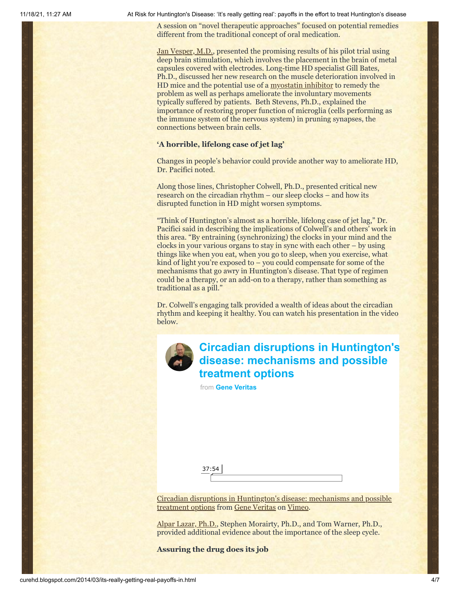A session on "novel therapeutic approaches" focused on potential remedies different from the traditional concept of oral medication.

[Jan Vesper, M.D.](http://vimeo.com/album/2775783/video/87956914), presented the promising results of his pilot trial using deep brain stimulation, which involves the placement in the brain of metal capsules covered with electrodes. Long-time HD specialist Gill Bates, Ph.D., discussed her new research on the muscle deterioration involved in HD mice and the potential use of a [myostatin inhibitor](http://www.ncbi.nlm.nih.gov/pmc/articles/PMC3819341/) to remedy the problem as well as perhaps ameliorate the involuntary movements typically suffered by patients. Beth Stevens, Ph.D., explained the importance of restoring proper function of microglia (cells performing as the immune system of the nervous system) in pruning synapses, the connections between brain cells.

## **'A horrible, lifelong case of jet lag'**

Changes in people's behavior could provide another way to ameliorate HD, Dr. Pacifici noted.

Along those lines, Christopher Colwell, Ph.D., presented critical new research on the circadian rhythm – our sleep clocks – and how its disrupted function in HD might worsen symptoms.

"Think of Huntington's almost as a horrible, lifelong case of jet lag," Dr. Pacifici said in describing the implications of Colwell's and others' work in this area. "By entraining (synchronizing) the clocks in your mind and the clocks in your various organs to stay in sync with each other – by using things like when you eat, when you go to sleep, when you exercise, what kind of light you're exposed to  $-$  you could compensate for some of the mechanisms that go awry in Huntington's disease. That type of regimen could be a therapy, or an add-on to a therapy, rather than something as traditional as a pill."

Dr. Colwell's engaging talk provided a wealth of ideas about the circadian rhythm and keeping it healthy. You can watch his presentation in the video below.



## **[Circadian disruptions in Huntington's](https://vimeo.com/87948440?embedded=true&source=video_title&owner=6019843) disease: mechanisms and possible treatment options**

from **[Gene Veritas](https://vimeo.com/user6019843?embedded=true&source=owner_name&owner=6019843)**

[Circadian disruptions in Huntington's disease: mechanisms and possible](http://vimeo.com/87948440) treatment options from [Gene Veritas](http://vimeo.com/user6019843) on [Vimeo.](https://vimeo.com/)

[Alpar Lazar, Ph.D.](http://vimeo.com/album/2775783/video/88022876), Stephen Morairty, Ph.D., and Tom Warner, Ph.D., provided additional evidence about the importance of the sleep cycle.

#### **Assuring the drug does its job**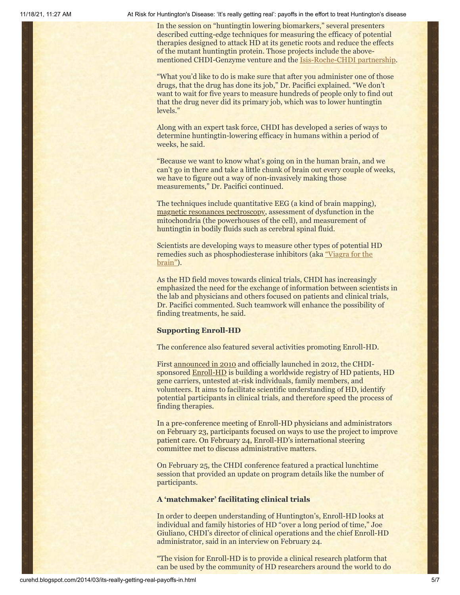In the session on "huntingtin lowering biomarkers," several presenters described cutting-edge techniques for measuring the efficacy of potential therapies designed to attack HD at its genetic roots and reduce the effects of the mutant huntingtin protein. Those projects include the abovementioned CHDI-Genzyme venture and the [Isis-Roche-CHDI partnership.](http://curehd.blogspot.com/2013/04/quickening-pace-towards-huntingtons.html)

"What you'd like to do is make sure that after you administer one of those drugs, that the drug has done its job," Dr. Pacifici explained. "We don't want to wait for five years to measure hundreds of people only to find out that the drug never did its primary job, which was to lower huntingtin levels."

Along with an expert task force, CHDI has developed a series of ways to determine huntingtin-lowering efficacy in humans within a period of weeks, he said.

"Because we want to know what's going on in the human brain, and we can't go in there and take a little chunk of brain out every couple of weeks, we have to figure out a way of non-invasively making those measurements," Dr. Pacifici continued.

The techniques include quantitative EEG (a kind of brain mapping), [magnetic resonances pectroscopy,](http://www.ncbi.nlm.nih.gov/pubmed/16148633) assessment of dysfunction in the mitochondria (the powerhouses of the cell), and measurement of huntingtin in bodily fluids such as cerebral spinal fluid.

Scientists are developing ways to measure other types of potential HD remedies such as [phosphodiesterase inhibitors \(aka "Viagra for the](http://curehd.blogspot.com/2012/06/yales-partnership-against-huntingtons.html) brain").

As the HD field moves towards clinical trials, CHDI has increasingly emphasized the need for the exchange of information between scientists in the lab and physicians and others focused on patients and clinical trials, Dr. Pacifici commented. Such teamwork will enhance the possibility of finding treatments, he said.

## **Supporting Enroll-HD**

The conference also featured several activities promoting Enroll-HD.

First [announced in 2010](http://www.curehd.blogspot.com/2010/12/globalizing-fight-against-huntingtons.html) and officially launched in 2012, the CHDIsponsored [Enroll-HD](http://www.enroll-hd.org/) is building a worldwide registry of HD patients, HD gene carriers, untested at-risk individuals, family members, and volunteers. It aims to facilitate scientific understanding of HD, identify potential participants in clinical trials, and therefore speed the process of finding therapies.

In a pre-conference meeting of Enroll-HD physicians and administrators on February 23, participants focused on ways to use the project to improve patient care. On February 24, Enroll-HD's international steering committee met to discuss administrative matters.

On February 25, the CHDI conference featured a practical lunchtime session that provided an update on program details like the number of participants.

## **A 'matchmaker' facilitating clinical trials**

In order to deepen understanding of Huntington's, Enroll-HD looks at individual and family histories of HD "over a long period of time," Joe Giuliano, CHDI's director of clinical operations and the chief Enroll-HD administrator, said in an interview on February 24.

"The vision for Enroll-HD is to provide a clinical research platform that can be used by the community of HD researchers around the world to do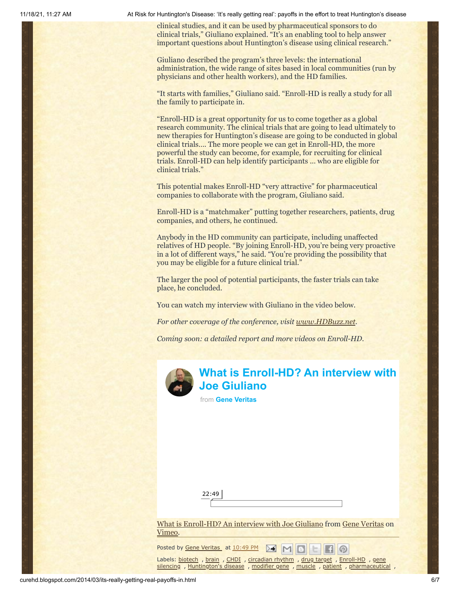clinical studies, and it can be used by pharmaceutical sponsors to do clinical trials," Giuliano explained. "It's an enabling tool to help answer important questions about Huntington's disease using clinical research."

Giuliano described the program's three levels: the international administration, the wide range of sites based in local communities (run by physicians and other health workers), and the HD families.

"It starts with families," Giuliano said. "Enroll-HD is really a study for all the family to participate in.

"Enroll-HD is a great opportunity for us to come together as a global research community. The clinical trials that are going to lead ultimately to new therapies for Huntington's disease are going to be conducted in global clinical trials…. The more people we can get in Enroll-HD, the more powerful the study can become, for example, for recruiting for clinical trials. Enroll-HD can help identify participants … who are eligible for clinical trials."

This potential makes Enroll-HD "very attractive" for pharmaceutical companies to collaborate with the program, Giuliano said.

Enroll-HD is a "matchmaker" putting together researchers, patients, drug companies, and others, he continued.

Anybody in the HD community can participate, including unaffected relatives of HD people. "By joining Enroll-HD, you're being very proactive in a lot of different ways," he said. "You're providing the possibility that you may be eligible for a future clinical trial."

The larger the pool of potential participants, the faster trials can take place, he concluded.

You can watch my interview with Giuliano in the video below.

*For other coverage of the conference, visit [www.HDBuzz.net](http://www.hdbuzz.net/).*

*Coming soon: a detailed report and more videos on Enroll-HD.*



## **[What is Enroll-HD? An interview with](https://vimeo.com/87926204?embedded=true&source=video_title&owner=6019843) Joe Giuliano**

from **[Gene Veritas](https://vimeo.com/user6019843?embedded=true&source=owner_name&owner=6019843)**

| $\overline{\phantom{a}}$ |  |  |
|--------------------------|--|--|
|                          |  |  |

[What is Enroll-HD? An interview with Joe Giuliano](http://vimeo.com/87926204) from [Gene Veritas](http://vimeo.com/user6019843) on [Vimeo.](https://vimeo.com/)

 $\circ$ 

Posted by Gene [Veritas](https://www.blogger.com/profile/03599828959793084715) at [10:49](http://curehd.blogspot.com/2014/03/its-really-getting-real-payoffs-in.html) PM ≻€

Labels: [biotech](http://curehd.blogspot.com/search/label/biotech) , [brain](http://curehd.blogspot.com/search/label/brain) , [CHDI](http://curehd.blogspot.com/search/label/CHDI) , [circadian](http://curehd.blogspot.com/search/label/circadian%20rhythm) rhythm , drug [target](http://curehd.blogspot.com/search/label/drug%20target) , [Enroll-HD](http://curehd.blogspot.com/search/label/Enroll-HD) , gene silencing , [Huntington's](http://curehd.blogspot.com/search/label/Huntington%27s%20disease) disease , [modifier](http://curehd.blogspot.com/search/label/modifier%20gene) gene , [muscle](http://curehd.blogspot.com/search/label/muscle) , [patient](http://curehd.blogspot.com/search/label/patient) , [pharmaceutic](http://curehd.blogspot.com/search/label/gene%20silencing)[al](http://curehd.blogspot.com/search/label/pharmaceutical) ,